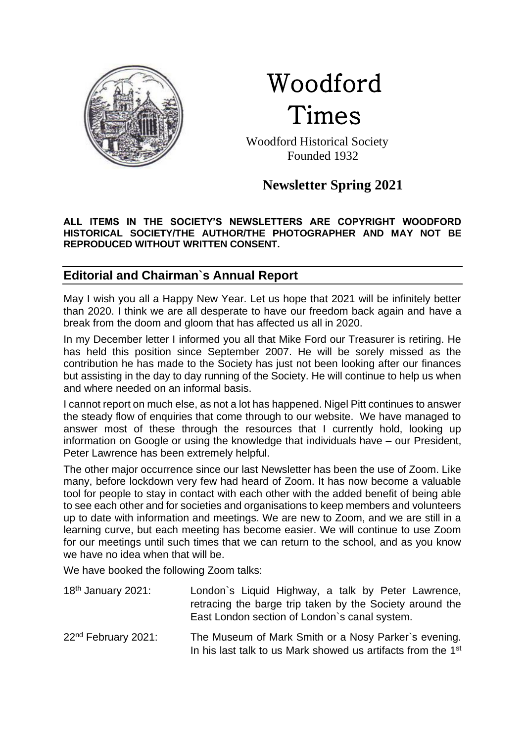

# Woodford Times

 Woodford Historical Society Founded 1932

# **Newsletter Spring 2021**

#### **ALL ITEMS IN THE SOCIETY'S NEWSLETTERS ARE COPYRIGHT WOODFORD HISTORICAL SOCIETY/THE AUTHOR/THE PHOTOGRAPHER AND MAY NOT BE REPRODUCED WITHOUT WRITTEN CONSENT.**

# **Editorial and Chairman`s Annual Report**

May I wish you all a Happy New Year. Let us hope that 2021 will be infinitely better than 2020. I think we are all desperate to have our freedom back again and have a break from the doom and gloom that has affected us all in 2020.

In my December letter I informed you all that Mike Ford our Treasurer is retiring. He has held this position since September 2007. He will be sorely missed as the contribution he has made to the Society has just not been looking after our finances but assisting in the day to day running of the Society. He will continue to help us when and where needed on an informal basis.

I cannot report on much else, as not a lot has happened. Nigel Pitt continues to answer the steady flow of enquiries that come through to our website. We have managed to answer most of these through the resources that I currently hold, looking up information on Google or using the knowledge that individuals have – our President, Peter Lawrence has been extremely helpful.

The other major occurrence since our last Newsletter has been the use of Zoom. Like many, before lockdown very few had heard of Zoom. It has now become a valuable tool for people to stay in contact with each other with the added benefit of being able to see each other and for societies and organisations to keep members and volunteers up to date with information and meetings. We are new to Zoom, and we are still in a learning curve, but each meeting has become easier. We will continue to use Zoom for our meetings until such times that we can return to the school, and as you know we have no idea when that will be.

We have booked the following Zoom talks:

| 18 <sup>th</sup> January 2021:  | London's Liquid Highway, a talk by Peter Lawrence,<br>retracing the barge trip taken by the Society around the<br>East London section of London's canal system. |
|---------------------------------|-----------------------------------------------------------------------------------------------------------------------------------------------------------------|
| 22 <sup>nd</sup> February 2021: | The Museum of Mark Smith or a Nosy Parker's evening.<br>In his last talk to us Mark showed us artifacts from the 1 <sup>st</sup>                                |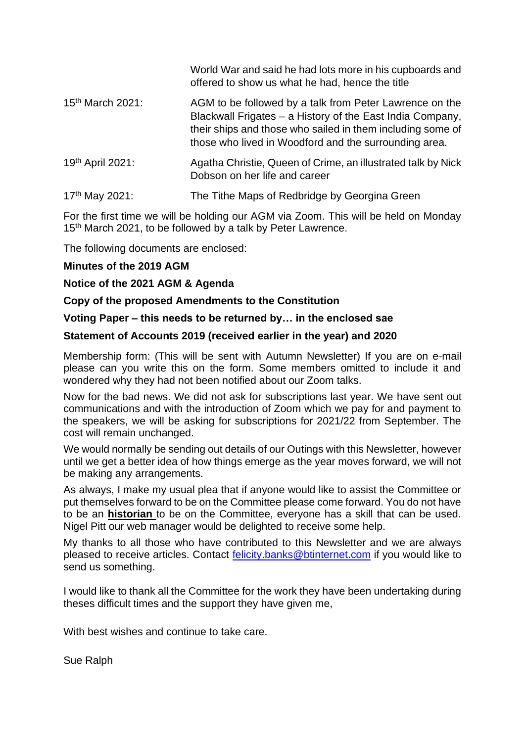|                              | World War and said he had lots more in his cupboards and<br>offered to show us what he had, hence the title                                                                                                                                 |
|------------------------------|---------------------------------------------------------------------------------------------------------------------------------------------------------------------------------------------------------------------------------------------|
| 15 <sup>th</sup> March 2021: | AGM to be followed by a talk from Peter Lawrence on the<br>Blackwall Frigates - a History of the East India Company,<br>their ships and those who sailed in them including some of<br>those who lived in Woodford and the surrounding area. |
| 19th April 2021:             | Agatha Christie, Queen of Crime, an illustrated talk by Nick<br>Dobson on her life and career                                                                                                                                               |
| 17th May 2021:               | The Tithe Maps of Redbridge by Georgina Green                                                                                                                                                                                               |

For the first time we will be holding our AGM via Zoom. This will be held on Monday 15<sup>th</sup> March 2021, to be followed by a talk by Peter Lawrence.

The following documents are enclosed:

### **Minutes of the 2019 AGM**

### **Notice of the 2021 AGM & Agenda**

### **Copy of the proposed Amendments to the Constitution**

### **Voting Paper – this needs to be returned by… in the enclosed sae**

### **Statement of Accounts 2019 (received earlier in the year) and 2020**

Membership form: (This will be sent with Autumn Newsletter) If you are on e-mail please can you write this on the form. Some members omitted to include it and wondered why they had not been notified about our Zoom talks.

Now for the bad news. We did not ask for subscriptions last year. We have sent out communications and with the introduction of Zoom which we pay for and payment to the speakers, we will be asking for subscriptions for 2021/22 from September. The cost will remain unchanged.

We would normally be sending out details of our Outings with this Newsletter, however until we get a better idea of how things emerge as the year moves forward, we will not be making any arrangements.

As always, I make my usual plea that if anyone would like to assist the Committee or put themselves forward to be on the Committee please come forward. You do not have to be an **historian** to be on the Committee, everyone has a skill that can be used. Nigel Pitt our web manager would be delighted to receive some help.

My thanks to all those who have contributed to this Newsletter and we are always pleased to receive articles. Contact [felicity.banks@btinternet.com](mailto:felicity.banks@btinternet.com) if you would like to send us something.

I would like to thank all the Committee for the work they have been undertaking during theses difficult times and the support they have given me,

With best wishes and continue to take care.

Sue Ralph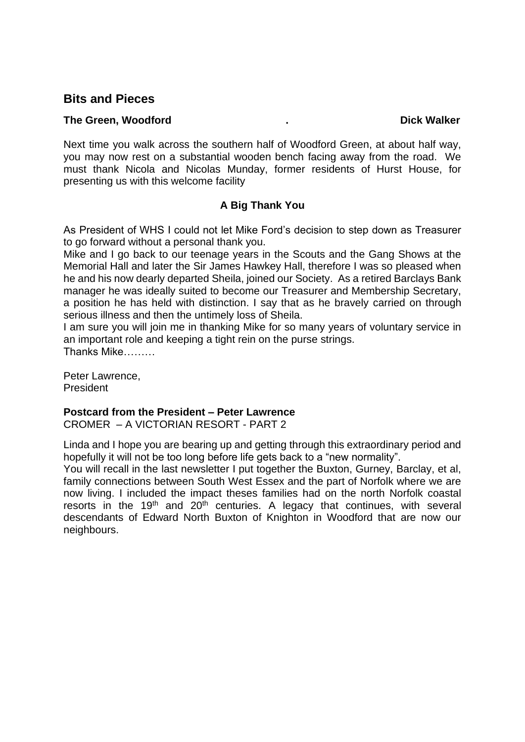### **Bits and Pieces**

#### **The Green, Woodford .** The Green, Woodford **.** The Green, Woodford **.** The Dick Walker

Next time you walk across the southern half of Woodford Green, at about half way, you may now rest on a substantial wooden bench facing away from the road. We must thank Nicola and Nicolas Munday, former residents of Hurst House, for presenting us with this welcome facility

### **A Big Thank You**

As President of WHS I could not let Mike Ford's decision to step down as Treasurer to go forward without a personal thank you.

Mike and I go back to our teenage years in the Scouts and the Gang Shows at the Memorial Hall and later the Sir James Hawkey Hall, therefore I was so pleased when he and his now dearly departed Sheila, joined our Society. As a retired Barclays Bank manager he was ideally suited to become our Treasurer and Membership Secretary, a position he has held with distinction. I say that as he bravely carried on through serious illness and then the untimely loss of Sheila.

I am sure you will join me in thanking Mike for so many years of voluntary service in an important role and keeping a tight rein on the purse strings. Thanks Mike………

Peter Lawrence, President

#### **Postcard from the President – Peter Lawrence**

CROMER – A VICTORIAN RESORT - PART 2

Linda and I hope you are bearing up and getting through this extraordinary period and hopefully it will not be too long before life gets back to a "new normality".

You will recall in the last newsletter I put together the Buxton, Gurney, Barclay, et al, family connections between South West Essex and the part of Norfolk where we are now living. I included the impact theses families had on the north Norfolk coastal resorts in the 19<sup>th</sup> and 20<sup>th</sup> centuries. A legacy that continues, with several descendants of Edward North Buxton of Knighton in Woodford that are now our neighbours.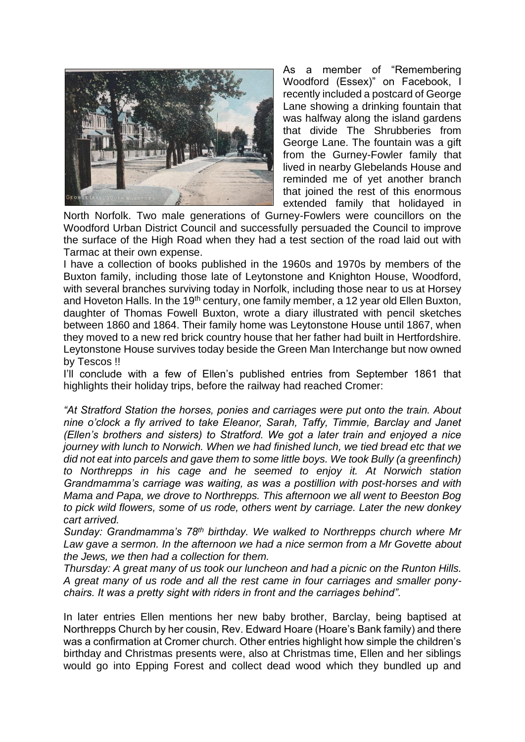

As a member of "Remembering Woodford (Essex)" on Facebook, I recently included a postcard of George Lane showing a drinking fountain that was halfway along the island gardens that divide The Shrubberies from George Lane. The fountain was a gift from the Gurney-Fowler family that lived in nearby Glebelands House and reminded me of yet another branch that joined the rest of this enormous extended family that holidayed in

North Norfolk. Two male generations of Gurney-Fowlers were councillors on the Woodford Urban District Council and successfully persuaded the Council to improve the surface of the High Road when they had a test section of the road laid out with Tarmac at their own expense.

I have a collection of books published in the 1960s and 1970s by members of the Buxton family, including those late of Leytonstone and Knighton House, Woodford, with several branches surviving today in Norfolk, including those near to us at Horsey and Hoveton Halls. In the 19<sup>th</sup> century, one family member, a 12 year old Ellen Buxton, daughter of Thomas Fowell Buxton, wrote a diary illustrated with pencil sketches between 1860 and 1864. Their family home was Leytonstone House until 1867, when they moved to a new red brick country house that her father had built in Hertfordshire. Leytonstone House survives today beside the Green Man Interchange but now owned by Tescos !!

I'll conclude with a few of Ellen's published entries from September 1861 that highlights their holiday trips, before the railway had reached Cromer:

*"At Stratford Station the horses, ponies and carriages were put onto the train. About nine o'clock a fly arrived to take Eleanor, Sarah, Taffy, Timmie, Barclay and Janet (Ellen's brothers and sisters) to Stratford. We got a later train and enjoyed a nice journey with lunch to Norwich. When we had finished lunch, we tied bread etc that we did not eat into parcels and gave them to some little boys. We took Bully (a greenfinch) to Northrepps in his cage and he seemed to enjoy it. At Norwich station Grandmamma's carriage was waiting, as was a postillion with post-horses and with Mama and Papa, we drove to Northrepps. This afternoon we all went to Beeston Bog to pick wild flowers, some of us rode, others went by carriage. Later the new donkey cart arrived.* 

*Sunday: Grandmamma's 78th birthday. We walked to Northrepps church where Mr*  Law gave a sermon. In the afternoon we had a nice sermon from a Mr Govette about *the Jews, we then had a collection for them.* 

*Thursday: A great many of us took our luncheon and had a picnic on the Runton Hills. A great many of us rode and all the rest came in four carriages and smaller ponychairs. It was a pretty sight with riders in front and the carriages behind".*

In later entries Ellen mentions her new baby brother, Barclay, being baptised at Northrepps Church by her cousin, Rev. Edward Hoare (Hoare's Bank family) and there was a confirmation at Cromer church. Other entries highlight how simple the children's birthday and Christmas presents were, also at Christmas time, Ellen and her siblings would go into Epping Forest and collect dead wood which they bundled up and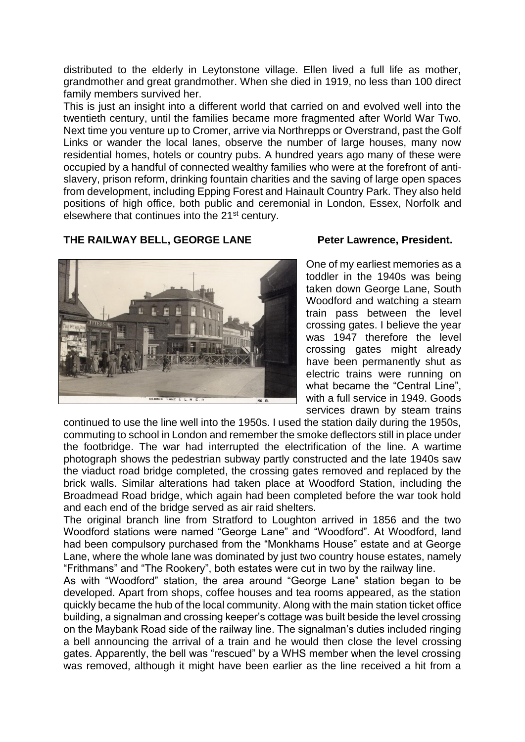distributed to the elderly in Leytonstone village. Ellen lived a full life as mother, grandmother and great grandmother. When she died in 1919, no less than 100 direct family members survived her.

This is just an insight into a different world that carried on and evolved well into the twentieth century, until the families became more fragmented after World War Two. Next time you venture up to Cromer, arrive via Northrepps or Overstrand, past the Golf Links or wander the local lanes, observe the number of large houses, many now residential homes, hotels or country pubs. A hundred years ago many of these were occupied by a handful of connected wealthy families who were at the forefront of antislavery, prison reform, drinking fountain charities and the saving of large open spaces from development, including Epping Forest and Hainault Country Park. They also held positions of high office, both public and ceremonial in London, Essex, Norfolk and elsewhere that continues into the 21<sup>st</sup> century.

### THE RAILWAY BELL, GEORGE LANE Peter Lawrence, President.



One of my earliest memories as a toddler in the 1940s was being taken down George Lane, South Woodford and watching a steam train pass between the level crossing gates. I believe the year was 1947 therefore the level crossing gates might already have been permanently shut as electric trains were running on what became the "Central Line", with a full service in 1949. Goods services drawn by steam trains

continued to use the line well into the 1950s. I used the station daily during the 1950s, commuting to school in London and remember the smoke deflectors still in place under the footbridge. The war had interrupted the electrification of the line. A wartime photograph shows the pedestrian subway partly constructed and the late 1940s saw the viaduct road bridge completed, the crossing gates removed and replaced by the brick walls. Similar alterations had taken place at Woodford Station, including the Broadmead Road bridge, which again had been completed before the war took hold and each end of the bridge served as air raid shelters.

The original branch line from Stratford to Loughton arrived in 1856 and the two Woodford stations were named "George Lane" and "Woodford". At Woodford, land had been compulsory purchased from the "Monkhams House" estate and at George Lane, where the whole lane was dominated by just two country house estates, namely "Frithmans" and "The Rookery", both estates were cut in two by the railway line.

As with "Woodford" station, the area around "George Lane" station began to be developed. Apart from shops, coffee houses and tea rooms appeared, as the station quickly became the hub of the local community. Along with the main station ticket office building, a signalman and crossing keeper's cottage was built beside the level crossing on the Maybank Road side of the railway line. The signalman's duties included ringing a bell announcing the arrival of a train and he would then close the level crossing gates. Apparently, the bell was "rescued" by a WHS member when the level crossing was removed, although it might have been earlier as the line received a hit from a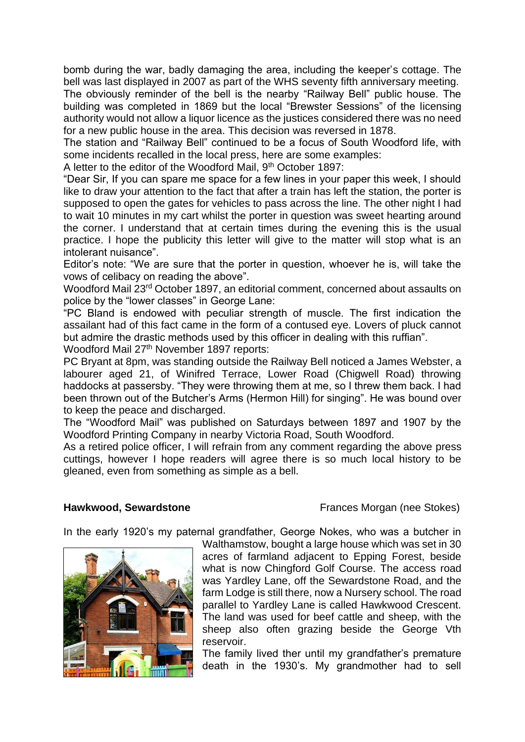bomb during the war, badly damaging the area, including the keeper's cottage. The bell was last displayed in 2007 as part of the WHS seventy fifth anniversary meeting.

The obviously reminder of the bell is the nearby "Railway Bell" public house. The building was completed in 1869 but the local "Brewster Sessions" of the licensing authority would not allow a liquor licence as the justices considered there was no need for a new public house in the area. This decision was reversed in 1878.

The station and "Railway Bell" continued to be a focus of South Woodford life, with some incidents recalled in the local press, here are some examples:

A letter to the editor of the Woodford Mail, 9<sup>th</sup> October 1897:

"Dear Sir, If you can spare me space for a few lines in your paper this week, I should like to draw your attention to the fact that after a train has left the station, the porter is supposed to open the gates for vehicles to pass across the line. The other night I had to wait 10 minutes in my cart whilst the porter in question was sweet hearting around the corner. I understand that at certain times during the evening this is the usual practice. I hope the publicity this letter will give to the matter will stop what is an intolerant nuisance".

Editor's note: "We are sure that the porter in question, whoever he is, will take the vows of celibacy on reading the above".

Woodford Mail 23rd October 1897, an editorial comment, concerned about assaults on police by the "lower classes" in George Lane:

"PC Bland is endowed with peculiar strength of muscle. The first indication the assailant had of this fact came in the form of a contused eye. Lovers of pluck cannot but admire the drastic methods used by this officer in dealing with this ruffian".

Woodford Mail 27<sup>th</sup> November 1897 reports:

PC Bryant at 8pm, was standing outside the Railway Bell noticed a James Webster, a labourer aged 21, of Winifred Terrace, Lower Road (Chigwell Road) throwing haddocks at passersby. "They were throwing them at me, so I threw them back. I had been thrown out of the Butcher's Arms (Hermon Hill) for singing". He was bound over to keep the peace and discharged.

The "Woodford Mail" was published on Saturdays between 1897 and 1907 by the Woodford Printing Company in nearby Victoria Road, South Woodford.

As a retired police officer, I will refrain from any comment regarding the above press cuttings, however I hope readers will agree there is so much local history to be gleaned, even from something as simple as a bell.

**Hawkwood, Sewardstone Frances Morgan (nee Stokes)** 

In the early 1920's my paternal grandfather, George Nokes, who was a butcher in



Walthamstow, bought a large house which was set in 30 acres of farmland adjacent to Epping Forest, beside what is now Chingford Golf Course. The access road was Yardley Lane, off the Sewardstone Road, and the farm Lodge is still there, now a Nursery school. The road parallel to Yardley Lane is called Hawkwood Crescent. The land was used for beef cattle and sheep, with the sheep also often grazing beside the George Vth reservoir.

The family lived ther until my grandfather's premature death in the 1930's. My grandmother had to sell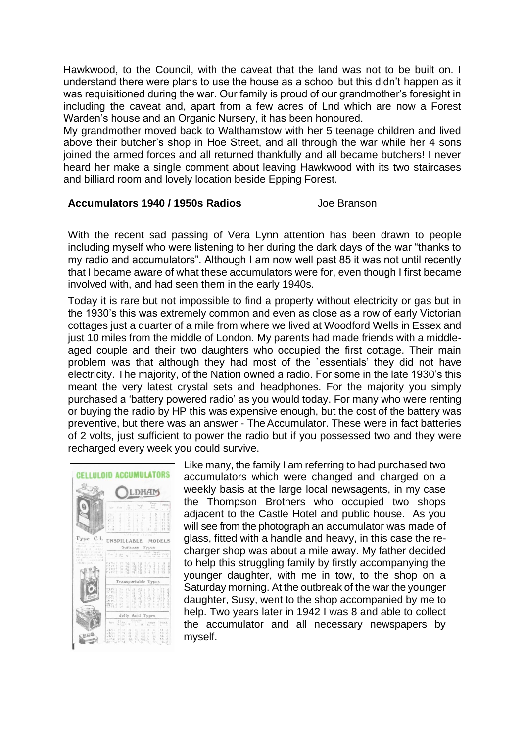Hawkwood, to the Council, with the caveat that the land was not to be built on. I understand there were plans to use the house as a school but this didn't happen as it was requisitioned during the war. Our family is proud of our grandmother's foresight in including the caveat and, apart from a few acres of Lnd which are now a Forest Warden's house and an Organic Nursery, it has been honoured.

My grandmother moved back to Walthamstow with her 5 teenage children and lived above their butcher's shop in Hoe Street, and all through the war while her 4 sons joined the armed forces and all returned thankfully and all became butchers! I never heard her make a single comment about leaving Hawkwood with its two staircases and billiard room and lovely location beside Epping Forest.

#### **Accumulators 1940 / 1950s Radios** Joe Branson

With the recent sad passing of Vera Lynn attention has been drawn to people including myself who were listening to her during the dark days of the war "thanks to my radio and accumulators". Although I am now well past 85 it was not until recently that I became aware of what these accumulators were for, even though I first became involved with, and had seen them in the early 1940s.

Today it is rare but not impossible to find a property without electricity or gas but in the 1930's this was extremely common and even as close as a row of early Victorian cottages just a quarter of a mile from where we lived at Woodford Wells in Essex and just 10 miles from the middle of London. My parents had made friends with a middleaged couple and their two daughters who occupied the first cottage. Their main problem was that although they had most of the `essentials' they did not have electricity. The majority, of the Nation owned a radio. For some in the late 1930's this meant the very latest crystal sets and headphones. For the majority you simply purchased a 'battery powered radio' as you would today. For many who were renting or buying the radio by HP this was expensive enough, but the cost of the battery was preventive, but there was an answer - TheAccumulator. These were in fact batteries of 2 volts, just sufficient to power the radio but if you possessed two and they were recharged every week you could survive.



Like many, the family I am referring to had purchased two accumulators which were changed and charged on a weekly basis at the large local newsagents, in my case the Thompson Brothers who occupied two shops adjacent to the Castle Hotel and public house. As you will see from the photograph an accumulator was made of glass, fitted with a handle and heavy, in this case the recharger shop was about a mile away. My father decided to help this struggling family by firstly accompanying the younger daughter, with me in tow, to the shop on a Saturday morning. At the outbreak of the war the younger daughter, Susy, went to the shop accompanied by me to help. Two years later in 1942 I was 8 and able to collect the accumulator and all necessary newspapers by myself.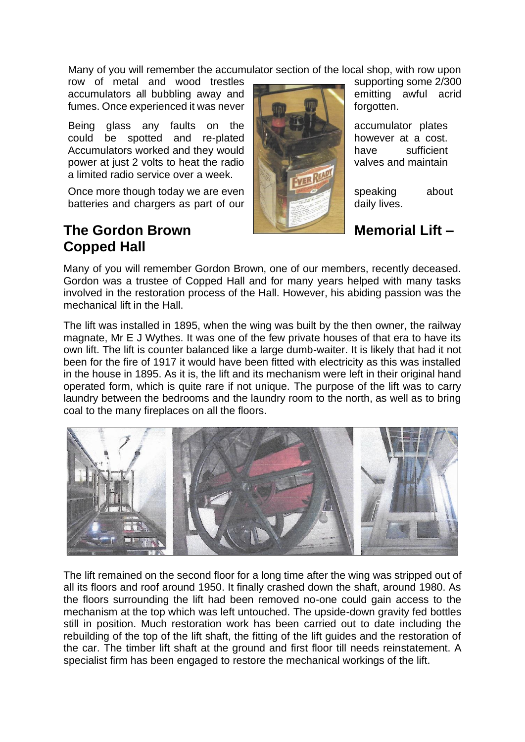Many of you will remember the accumulator section of the local shop, with row upon

row of metal and wood trestles accumulators all bubbling away and fumes. Once experienced it was never **for a state of the contract of the state of the state of the state of the state of the state of the state of the state of the state of the state of the state of the state of the state** 

Being glass any faults on the **and the contract accumulator plates** could be spotted and re-plated however at a cost. Accumulators worked and they would **the sufficient** have sufficient power at just 2 volts to heat the radio a limited radio service over a week.

Once more though today we are even streamed about speaking about batteries and chargers as part of our **daily lives**.

# The Gordon Brown Memorial Lift – **Copped Hall**



Many of you will remember Gordon Brown, one of our members, recently deceased. Gordon was a trustee of Copped Hall and for many years helped with many tasks involved in the restoration process of the Hall. However, his abiding passion was the mechanical lift in the Hall.

The lift was installed in 1895, when the wing was built by the then owner, the railway magnate, Mr E J Wythes. It was one of the few private houses of that era to have its own lift. The lift is counter balanced like a large dumb-waiter. It is likely that had it not been for the fire of 1917 it would have been fitted with electricity as this was installed in the house in 1895. As it is, the lift and its mechanism were left in their original hand operated form, which is quite rare if not unique. The purpose of the lift was to carry laundry between the bedrooms and the laundry room to the north, as well as to bring coal to the many fireplaces on all the floors.



The lift remained on the second floor for a long time after the wing was stripped out of all its floors and roof around 1950. It finally crashed down the shaft, around 1980. As the floors surrounding the lift had been removed no-one could gain access to the mechanism at the top which was left untouched. The upside-down gravity fed bottles still in position. Much restoration work has been carried out to date including the rebuilding of the top of the lift shaft, the fitting of the lift guides and the restoration of the car. The timber lift shaft at the ground and first floor till needs reinstatement. A specialist firm has been engaged to restore the mechanical workings of the lift.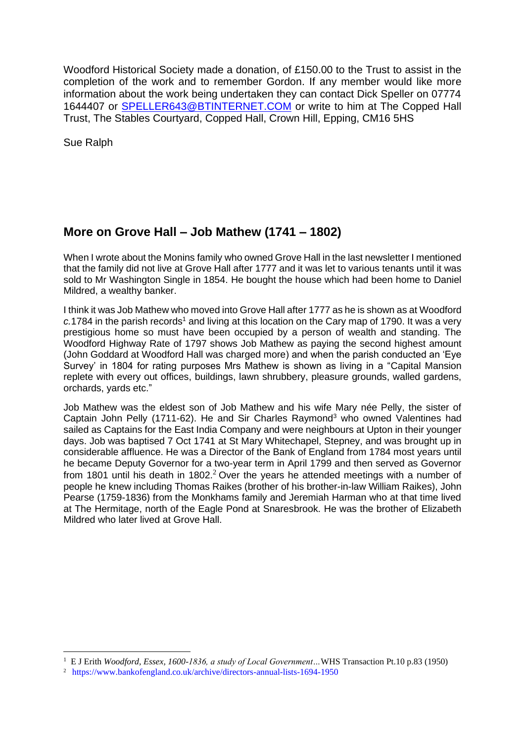Woodford Historical Society made a donation, of £150.00 to the Trust to assist in the completion of the work and to remember Gordon. If any member would like more information about the work being undertaken they can contact Dick Speller on 07774 1644407 or [SPELLER643@BTINTERNET.COM](mailto:SPELLER643@BTINTERNET.COM) or write to him at The Copped Hall Trust, The Stables Courtyard, Copped Hall, Crown Hill, Epping, CM16 5HS

Sue Ralph

# **More on Grove Hall – Job Mathew (1741 – 1802)**

When I wrote about the Monins family who owned Grove Hall in the last newsletter I mentioned that the family did not live at Grove Hall after 1777 and it was let to various tenants until it was sold to Mr Washington Single in 1854. He bought the house which had been home to Daniel Mildred, a wealthy banker.

I think it was Job Mathew who moved into Grove Hall after 1777 as he is shown as at Woodford c.1784 in the parish records<sup>1</sup> and living at this location on the Cary map of 1790. It was a very prestigious home so must have been occupied by a person of wealth and standing. The Woodford Highway Rate of 1797 shows Job Mathew as paying the second highest amount (John Goddard at Woodford Hall was charged more) and when the parish conducted an 'Eye Survey' in 1804 for rating purposes Mrs Mathew is shown as living in a "Capital Mansion replete with every out offices, buildings, lawn shrubbery, pleasure grounds, walled gardens, orchards, yards etc."

Job Mathew was the eldest son of Job Mathew and his wife Mary née Pelly, the sister of Captain John Pelly (1711-62). He and Sir Charles Raymond<sup>3</sup> who owned Valentines had sailed as Captains for the East India Company and were neighbours at Upton in their younger days. Job was baptised 7 Oct 1741 at St Mary Whitechapel, Stepney, and was brought up in considerable affluence. He was a Director of the Bank of England from 1784 most years until he became Deputy Governor for a two-year term in April 1799 and then served as Governor from 1801 until his death in 1802.<sup>2</sup> Over the years he attended meetings with a number of people he knew including Thomas Raikes (brother of his brother-in-law William Raikes), John Pearse (1759-1836) from the Monkhams family and Jeremiah Harman who at that time lived at The Hermitage, north of the Eagle Pond at Snaresbrook. He was the brother of Elizabeth Mildred who later lived at Grove Hall.

<sup>1</sup> E J Erith *Woodford, Essex, 1600-1836, a study of Local Government…*WHS Transaction Pt.10 p.83 (1950)

<sup>2</sup> https://www.bankofengland.co.uk/archive/directors-annual-lists-1694-1950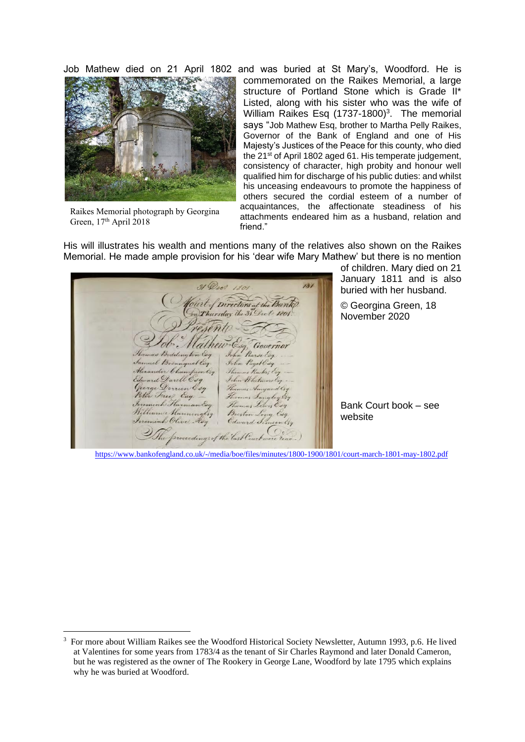

Raikes Memorial photograph by Georgina Green, 17<sup>th</sup> April 2018

Job Mathew died on 21 April 1802 and was buried at St Mary's, Woodford. He is commemorated on the Raikes Memorial, a large structure of Portland Stone which is Grade II\* Listed, along with his sister who was the wife of William Raikes Esq  $(1737-1800)^3$ . The memorial says "Job Mathew Esq, brother to Martha Pelly Raikes, Governor of the Bank of England and one of His Majesty's Justices of the Peace for this county, who died the 21<sup>st</sup> of April 1802 aged 61. His temperate judgement, consistency of character, high probity and honour well qualified him for discharge of his public duties: and whilst his unceasing endeavours to promote the happiness of others secured the cordial esteem of a number of acquaintances, the affectionate steadiness of his attachments endeared him as a husband, relation and friend."

His will illustrates his wealth and mentions many of the relatives also shown on the Raikes Memorial. He made ample provision for his 'dear wife Mary Mathew' but there is no mention

 $131$ Directors<sub>a</sub>  $H_{12}$  31 ursday ny ton Esq quel Cog arell Esq  $B_{n+1}$  $C_{d}$ 

of children. Mary died on 21 January 1811 and is also buried with her husband.

© Georgina Green, 18 November 2020

Bank Court book – see website

<https://www.bankofengland.co.uk/-/media/boe/files/minutes/1800-1900/1801/court-march-1801-may-1802.pdf>

<sup>3</sup> For more about William Raikes see the Woodford Historical Society Newsletter, Autumn 1993, p.6. He lived at Valentines for some years from 1783/4 as the tenant of Sir Charles Raymond and later Donald Cameron, but he was registered as the owner of The Rookery in George Lane, Woodford by late 1795 which explains why he was buried at Woodford.